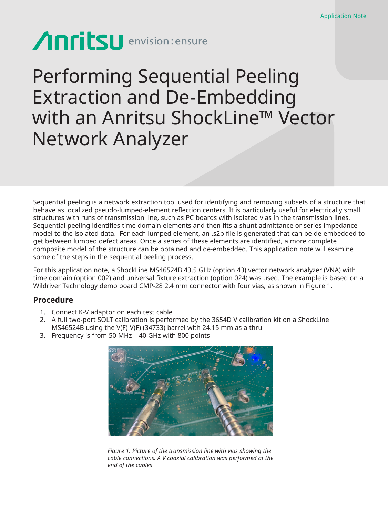# **Anritsu** envision: ensure

## Performing Sequential Peeling Extraction and De-Embedding with an Anritsu ShockLine™ Vector Network Analyzer

Sequential peeling is a network extraction tool used for identifying and removing subsets of a structure that behave as localized pseudo-lumped-element reflection centers. It is particularly useful for electrically small structures with runs of transmission line, such as PC boards with isolated vias in the transmission lines. Sequential peeling identifies time domain elements and then fits a shunt admittance or series impedance model to the isolated data. For each lumped element, an .s2p file is generated that can be de-embedded to get between lumped defect areas. Once a series of these elements are identified, a more complete composite model of the structure can be obtained and de-embedded. This application note will examine some of the steps in the sequential peeling process.

For this application note, a ShockLine MS46524B 43.5 GHz (option 43) vector network analyzer (VNA) with time domain (option 002) and universal fixture extraction (option 024) was used. The example is based on a Wildriver Technology demo board CMP-28 2.4 mm connector with four vias, as shown in Figure 1.

### **Procedure**

- 1. Connect K-V adaptor on each test cable
- 2. A full two-port SOLT calibration is performed by the 3654D V calibration kit on a ShockLine MS46524B using the V(F)-V(F) (34733) barrel with 24.15 mm as a thru
- 3. Frequency is from 50 MHz 40 GHz with 800 points



*Figure 1: Picture of the transmission line with vias showing the cable connections. A V coaxial calibration was performed at the end of the cables*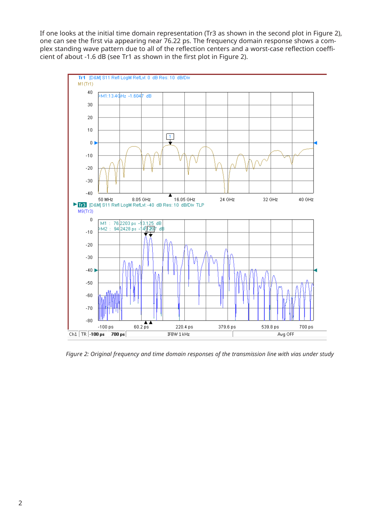If one looks at the initial time domain representation (Tr3 as shown in the second plot in Figure 2), one can see the first via appearing near 76.22 ps. The frequency domain response shows a complex standing wave pattern due to all of the reflection centers and a worst-case reflection coefficient of about -1.6 dB (see Tr1 as shown in the first plot in Figure 2).



*Figure 2: Original frequency and time domain responses of the transmission line with vias under study*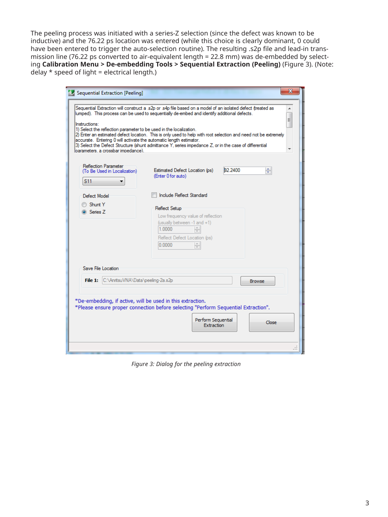The peeling process was initiated with a series-Z selection (since the defect was known to be inductive) and the 76.22 ps location was entered (while this choice is clearly dominant, 0 could have been entered to trigger the auto-selection routine). The resulting .s2p file and lead-in transmission line (76.22 ps converted to air-equivalent length = 22.8 mm) was de-embedded by selecting **Calibration Menu > De-embedding Tools > Sequential Extraction (Peeling)** (Figure 3). (Note: delay  $*$  speed of light = electrical length.)

| Sequential Extraction [Peeling]<br>Sequential Extraction will construct a .s2p or .s4p file based on a model of an isolated defect (treated as<br>▲<br>lumped). This process can be used to sequentially de-embed and identify additional defects.<br>Ξ<br>Instructions:<br>1) Select the reflection parameter to be used in the localization.<br>2) Enter an estimated defect location. This is only used to help with root selection and need not be extremely<br>accurate. Entering 0 will activate the automatic length estimator.<br>3) Select the Defect Structure (shunt admittance Y, series impedance Z, or in the case of differential<br>lparameters, a crossbar impedance). |                                                                                                                                                                   |  |  |  |  |  |
|-----------------------------------------------------------------------------------------------------------------------------------------------------------------------------------------------------------------------------------------------------------------------------------------------------------------------------------------------------------------------------------------------------------------------------------------------------------------------------------------------------------------------------------------------------------------------------------------------------------------------------------------------------------------------------------------|-------------------------------------------------------------------------------------------------------------------------------------------------------------------|--|--|--|--|--|
| <b>Reflection Parameter</b><br>(To Be Used in Localization)<br>S11                                                                                                                                                                                                                                                                                                                                                                                                                                                                                                                                                                                                                      | ÷<br><b>D2.2400</b><br>Estimated Defect Location (ps)<br>(Enter 0 for auto)                                                                                       |  |  |  |  |  |
| Defect Model<br>Shunt Y<br>Series Z                                                                                                                                                                                                                                                                                                                                                                                                                                                                                                                                                                                                                                                     | Include Reflect Standard<br>Reflect Setup<br>Low frequency value of reflection<br>(usually between -1 and +1)<br>1.0000<br>Reflect Defect Location (ps)<br>0.0000 |  |  |  |  |  |
| Save File Location<br>File 1: C:\AnritsuVNA\Data\peeling-2a.s2p<br>*De-embedding, if active, will be used in this extraction.                                                                                                                                                                                                                                                                                                                                                                                                                                                                                                                                                           | <b>Browse</b><br>*Please ensure proper connection before selecting "Perform Sequential Extraction".<br>Perform Sequential<br>Close<br>Extraction                  |  |  |  |  |  |

*Figure 3: Dialog for the peeling extraction*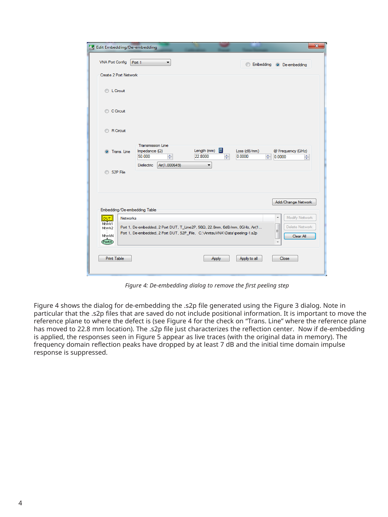| Edit Embedding/De-embedding                                                                                                                                                                                                                                     | $\mathbf{x}$ |  |  |  |  |  |
|-----------------------------------------------------------------------------------------------------------------------------------------------------------------------------------------------------------------------------------------------------------------|--------------|--|--|--|--|--|
| <b>VNA Port Config</b><br>Port 1<br>▼<br>Embedding @ De-embedding                                                                                                                                                                                               |              |  |  |  |  |  |
| Create 2 Port Network                                                                                                                                                                                                                                           |              |  |  |  |  |  |
| C L Circuit                                                                                                                                                                                                                                                     |              |  |  |  |  |  |
| C Circuit                                                                                                                                                                                                                                                       |              |  |  |  |  |  |
| R Circuit                                                                                                                                                                                                                                                       |              |  |  |  |  |  |
| <b>Transmission Line</b><br>量<br>Length (mm)<br>Impedance $(\Omega)$<br>Loss (dB/mm)<br>@ Frequency (GHz)<br><b>O</b> Trans, Line<br>싂<br>÷<br>22.8000<br>÷<br>50.000<br>0.0000<br>0.0000<br>÷<br><b>Dielectric</b><br>Air(1.000649)<br>۰                       |              |  |  |  |  |  |
| S <sub>2</sub> P File<br>$\circ$                                                                                                                                                                                                                                |              |  |  |  |  |  |
| Add/Change Network<br>Embedding/De-embedding Table                                                                                                                                                                                                              |              |  |  |  |  |  |
| Modify Network<br>۸<br>lldut l<br><b>Networks</b>                                                                                                                                                                                                               |              |  |  |  |  |  |
| Ntwk1<br>Delete Network<br>Port 1, De-embedded, 2 Port DUT, T_Line2P, 502, 22.8mm, 0dB/mm, 0GHz, Air(1<br>Ntwk2<br>Ξ<br>Port 1, De-embedded, 2 Port DUT, S2P_File, C:\AnritsuVNA\Data\peeling-1.s2p<br>NtwkN<br>Clear All<br>(Port)<br>$\overline{\phantom{a}}$ |              |  |  |  |  |  |
| <b>Print Table</b><br>Apply to all<br>Close<br><b>Apply</b>                                                                                                                                                                                                     |              |  |  |  |  |  |
|                                                                                                                                                                                                                                                                 |              |  |  |  |  |  |

*Figure 4: De-embedding dialog to remove the first peeling step*

Figure 4 shows the dialog for de-embedding the .s2p file generated using the Figure 3 dialog. Note in particular that the .s2p files that are saved do not include positional information. It is important to move the reference plane to where the defect is (see Figure 4 for the check on "Trans. Line" where the reference plane has moved to 22.8 mm location). The .s2p file just characterizes the reflection center. Now if de-embedding is applied, the responses seen in Figure 5 appear as live traces (with the original data in memory). The frequency domain reflection peaks have dropped by at least 7 dB and the initial time domain impulse response is suppressed.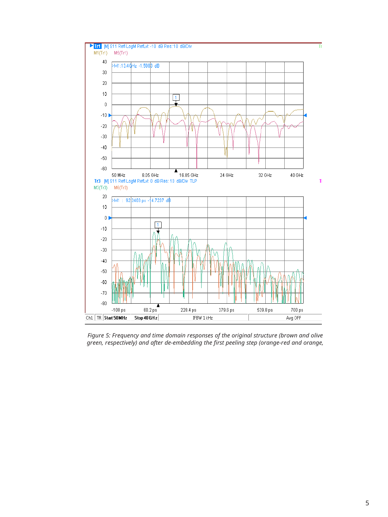

*Figure 5: Frequency and time domain responses of the original structure (brown and olive green, respectively) and after de-embedding the first peeling step (orange-red and orange,*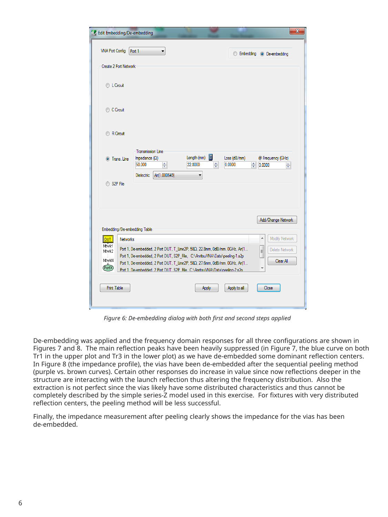| Edit Embedding/De-embedding                                                                                                                                                  |                                                                                                       |                                            |                             | X                                               |  |  |  |
|------------------------------------------------------------------------------------------------------------------------------------------------------------------------------|-------------------------------------------------------------------------------------------------------|--------------------------------------------|-----------------------------|-------------------------------------------------|--|--|--|
| <b>VNA Port Config</b>                                                                                                                                                       | Port 1                                                                                                |                                            |                             | Embedding @ De-embedding                        |  |  |  |
| Create 2 Port Network                                                                                                                                                        |                                                                                                       |                                            |                             |                                                 |  |  |  |
| C L Circuit                                                                                                                                                                  |                                                                                                       |                                            |                             |                                                 |  |  |  |
| C Circuit                                                                                                                                                                    |                                                                                                       |                                            |                             |                                                 |  |  |  |
| R Circuit                                                                                                                                                                    |                                                                                                       |                                            |                             |                                                 |  |  |  |
| <b>O</b> Trans. Line                                                                                                                                                         | <b>Transmission Line</b><br>Impedance $(\Omega)$<br>÷<br>50.000<br>Air(1.000649)<br><b>Dielectric</b> | 圛<br>Length (mm)<br>$\div$<br>22,8000<br>▼ | Loss (dB/mm)<br>÷<br>0.0000 | @ Frequency (GHz)<br>0.0000<br>$\frac{1}{\tau}$ |  |  |  |
| S <sub>2P</sub> File                                                                                                                                                         |                                                                                                       |                                            |                             |                                                 |  |  |  |
| Embedding/De-embedding Table                                                                                                                                                 |                                                                                                       |                                            |                             | Add/Change Network                              |  |  |  |
| lldut l<br><b>Networks</b>                                                                                                                                                   |                                                                                                       |                                            |                             | Modify Network<br>A                             |  |  |  |
| Ntwk1<br>Port 1, De-embedded, 2 Port DUT, T_Line2P, 50Q, 22.8mm, 0dB/mm, 0GHz, Air(1<br>Delete Network<br>E<br>Ntwk2                                                         |                                                                                                       |                                            |                             |                                                 |  |  |  |
| Port 1, De-embedded, 2 Port DUT, S2P_File, C:\AnritsuVNA\Data\peeling-1.s2p<br>NtwkN<br>Clear All                                                                            |                                                                                                       |                                            |                             |                                                 |  |  |  |
| Port 1, De-embedded, 2 Port DUT, T_Line2P, 50Q, 27.6mm, 0dB/mm, 0GHz, Air(1<br>(PortX)<br>۳<br>Port 1: De-embedded: 2 Port DUT: S2P. File: C:\AnritsuVNA\Data\peeling-2 s2p. |                                                                                                       |                                            |                             |                                                 |  |  |  |
| <b>Print Table</b><br>Apply to all<br>Close<br>Apply                                                                                                                         |                                                                                                       |                                            |                             |                                                 |  |  |  |
|                                                                                                                                                                              |                                                                                                       |                                            |                             |                                                 |  |  |  |

*Figure 6: De-embedding dialog with both first and second steps applied*

De-embedding was applied and the frequency domain responses for all three configurations are shown in Figures 7 and 8. The main reflection peaks have been heavily suppressed (in Figure 7, the blue curve on both Tr1 in the upper plot and Tr3 in the lower plot) as we have de-embedded some dominant reflection centers. In Figure 8 (the impedance profile), the vias have been de-embedded after the sequential peeling method (purple vs. brown curves). Certain other responses do increase in value since now reflections deeper in the structure are interacting with the launch reflection thus altering the frequency distribution. Also the extraction is not perfect since the vias likely have some distributed characteristics and thus cannot be completely described by the simple series-Z model used in this exercise. For fixtures with very distributed reflection centers, the peeling method will be less successful.

Finally, the impedance measurement after peeling clearly shows the impedance for the vias has been de-embedded.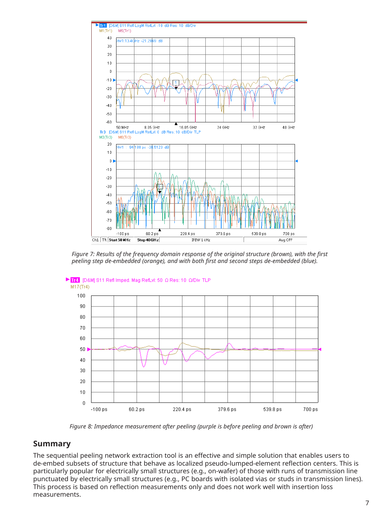

*Figure 7: Results of the frequency domain response of the original structure (brown), with the first peeling step de-embedded (orange), and with both first and second steps de-embedded (blue).*



*Figure 8: Impedance measurement after peeling (purple is before peeling and brown is after)*

### **Summary**

The sequential peeling network extraction tool is an effective and simple solution that enables users to de-embed subsets of structure that behave as localized pseudo-lumped-element reflection centers. This is particularly popular for electrically small structures (e.g., on-wafer) of those with runs of transmission line punctuated by electrically small structures (e.g., PC boards with isolated vias or studs in transmission lines). This process is based on reflection measurements only and does not work well with insertion loss measurements.